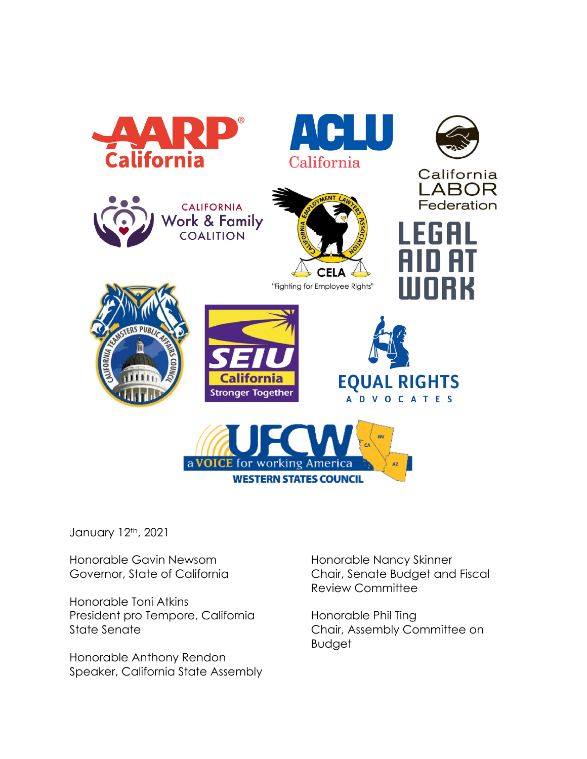

January 12th, 2021

Honorable Gavin Newsom Governor, State of California

Honorable Toni Atkins President pro Tempore, California State Senate

Honorable Anthony Rendon Speaker, California State Assembly Honorable Nancy Skinner Chair, Senate Budget and Fiscal Review Committee

Honorable Phil Ting Chair, Assembly Committee on Budget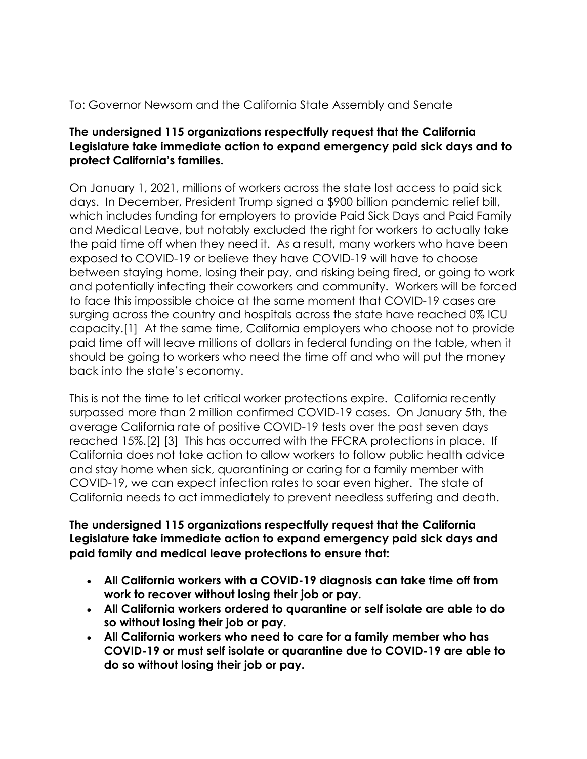# To: Governor Newsom and the California State Assembly and Senate

#### **The undersigned 115 organizations respectfully request that the California Legislature take immediate action to expand emergency paid sick days and to protect California's families.**

On January 1, 2021, millions of workers across the state lost access to paid sick days. In December, President Trump signed a \$900 billion pandemic relief bill, which includes funding for employers to provide Paid Sick Days and Paid Family and Medical Leave, but notably excluded the right for workers to actually take the paid time off when they need it. As a result, many workers who have been exposed to COVID-19 or believe they have COVID-19 will have to choose between staying home, losing their pay, and risking being fired, or going to work and potentially infecting their coworkers and community. Workers will be forced to face this impossible choice at the same moment that COVID-19 cases are surging across the country and hospitals across the state have reached 0% ICU capacity.[1] At the same time, California employers who choose not to provide paid time off will leave millions of dollars in federal funding on the table, when it should be going to workers who need the time off and who will put the money back into the state's economy.

This is not the time to let critical worker protections expire. California recently surpassed more than 2 million confirmed COVID-19 cases. On January 5th, the average California rate of positive COVID-19 tests over the past seven days reached 15%.[2] [3] This has occurred with the FFCRA protections in place. If California does not take action to allow workers to follow public health advice and stay home when sick, quarantining or caring for a family member with COVID-19, we can expect infection rates to soar even higher. The state of California needs to act immediately to prevent needless suffering and death.

### **The undersigned 115 organizations respectfully request that the California Legislature take immediate action to expand emergency paid sick days and paid family and medical leave protections to ensure that:**

- **All California workers with a COVID-19 diagnosis can take time off from work to recover without losing their job or pay.**
- **All California workers ordered to quarantine or self isolate are able to do so without losing their job or pay.**
- **All California workers who need to care for a family member who has COVID-19 or must self isolate or quarantine due to COVID-19 are able to do so without losing their job or pay.**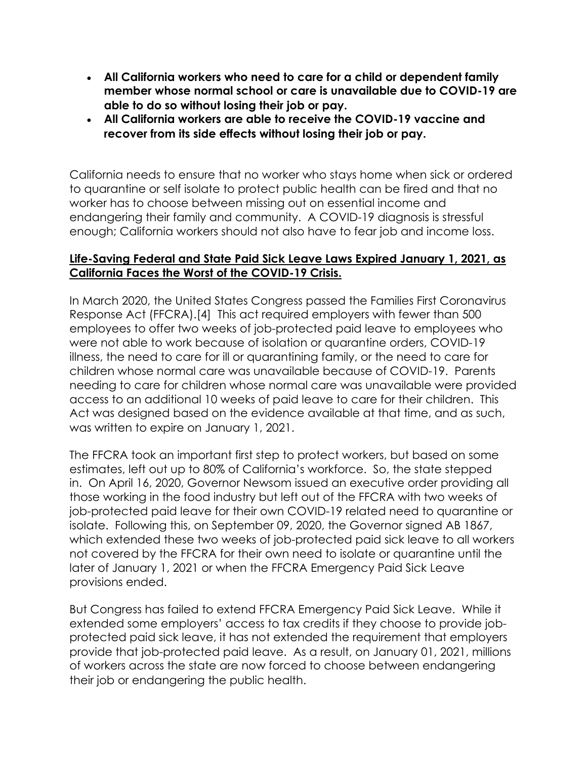- **All California workers who need to care for a child or dependent family member whose normal school or care is unavailable due to COVID-19 are able to do so without losing their job or pay.**
- **All California workers are able to receive the COVID-19 vaccine and recover from its side effects without losing their job or pay.**

California needs to ensure that no worker who stays home when sick or ordered to quarantine or self isolate to protect public health can be fired and that no worker has to choose between missing out on essential income and endangering their family and community. A COVID-19 diagnosis is stressful enough; California workers should not also have to fear job and income loss.

### **Life-Saving Federal and State Paid Sick Leave Laws Expired January 1, 2021, as California Faces the Worst of the COVID-19 Crisis.**

In March 2020, the United States Congress passed the Families First Coronavirus Response Act (FFCRA).[4] This act required employers with fewer than 500 employees to offer two weeks of job-protected paid leave to employees who were not able to work because of isolation or quarantine orders, COVID-19 illness, the need to care for ill or quarantining family, or the need to care for children whose normal care was unavailable because of COVID-19. Parents needing to care for children whose normal care was unavailable were provided access to an additional 10 weeks of paid leave to care for their children. This Act was designed based on the evidence available at that time, and as such, was written to expire on January 1, 2021.

The FFCRA took an important first step to protect workers, but based on some estimates, left out up to 80% of California's workforce. So, the state stepped in. On April 16, 2020, Governor Newsom issued an executive order providing all those working in the food industry but left out of the FFCRA with two weeks of job-protected paid leave for their own COVID-19 related need to quarantine or isolate. Following this, on September 09, 2020, the Governor signed AB 1867, which extended these two weeks of job-protected paid sick leave to all workers not covered by the FFCRA for their own need to isolate or quarantine until the later of January 1, 2021 or when the FFCRA Emergency Paid Sick Leave provisions ended.

But Congress has failed to extend FFCRA Emergency Paid Sick Leave. While it extended some employers' access to tax credits if they choose to provide jobprotected paid sick leave, it has not extended the requirement that employers provide that job-protected paid leave. As a result, on January 01, 2021, millions of workers across the state are now forced to choose between endangering their job or endangering the public health.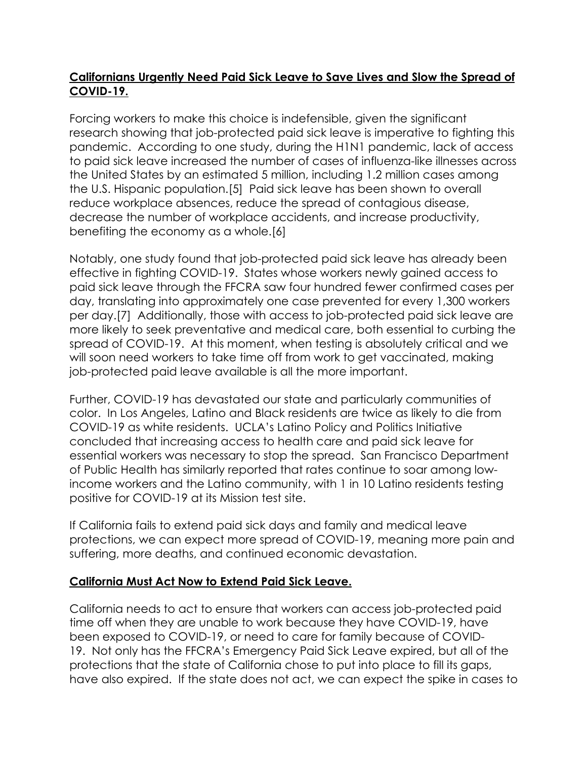# **Californians Urgently Need Paid Sick Leave to Save Lives and Slow the Spread of COVID-19.**

Forcing workers to make this choice is indefensible, given the significant research showing that job-protected paid sick leave is imperative to fighting this pandemic. According to one study, during the H1N1 pandemic, lack of access to paid sick leave increased the number of cases of influenza-like illnesses across the United States by an estimated 5 million, including 1.2 million cases among the U.S. Hispanic population.[5] Paid sick leave has been shown to overall reduce workplace absences, reduce the spread of contagious disease, decrease the number of workplace accidents, and increase productivity, benefiting the economy as a whole.[6]

Notably, one study found that job-protected paid sick leave has already been effective in fighting COVID-19. States whose workers newly gained access to paid sick leave through the FFCRA saw four hundred fewer confirmed cases per day, translating into approximately one case prevented for every 1,300 workers per day.[7] Additionally, those with access to job-protected paid sick leave are more likely to seek preventative and medical care, both essential to curbing the spread of COVID-19. At this moment, when testing is absolutely critical and we will soon need workers to take time off from work to get vaccinated, making job-protected paid leave available is all the more important.

Further, COVID-19 has devastated our state and particularly communities of color. In Los Angeles, Latino and Black residents are twice as likely to die from COVID-19 as white residents. UCLA's Latino Policy and Politics Initiative concluded that increasing access to health care and paid sick leave for essential workers was necessary to stop the spread. San Francisco Department of Public Health has similarly reported that rates continue to soar among lowincome workers and the Latino community, with 1 in 10 Latino residents testing positive for COVID-19 at its Mission test site.

If California fails to extend paid sick days and family and medical leave protections, we can expect more spread of COVID-19, meaning more pain and suffering, more deaths, and continued economic devastation.

#### **California Must Act Now to Extend Paid Sick Leave.**

California needs to act to ensure that workers can access job-protected paid time off when they are unable to work because they have COVID-19, have been exposed to COVID-19, or need to care for family because of COVID-19. Not only has the FFCRA's Emergency Paid Sick Leave expired, but all of the protections that the state of California chose to put into place to fill its gaps, have also expired. If the state does not act, we can expect the spike in cases to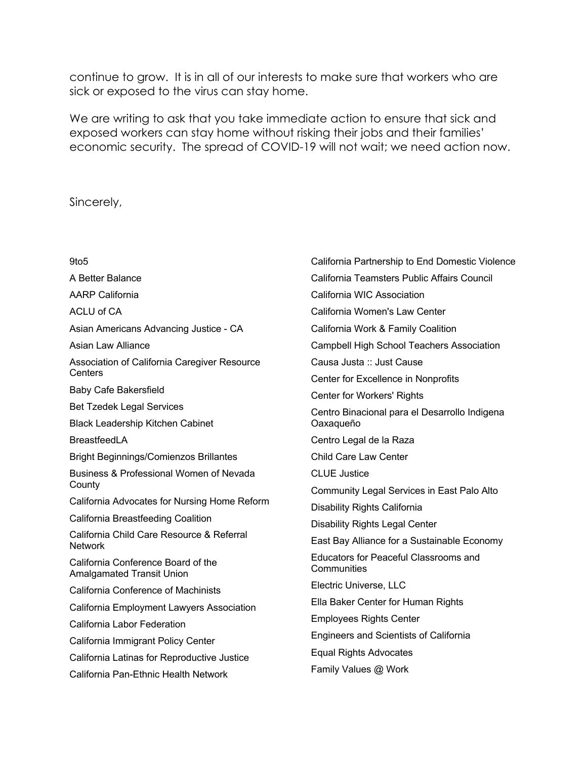continue to grow. It is in all of our interests to make sure that workers who are sick or exposed to the virus can stay home.

We are writing to ask that you take immediate action to ensure that sick and exposed workers can stay home without risking their jobs and their families' economic security. The spread of COVID-19 will not wait; we need action now.

Sincerely,

9to5 A Better Balance AARP California ACLU of CA Asian Americans Advancing Justice - CA Asian Law Alliance Association of California Caregiver Resource **Centers** Baby Cafe Bakersfield Bet Tzedek Legal Services Black Leadership Kitchen Cabinet **BreastfeedLA** Bright Beginnings/Comienzos Brillantes Business & Professional Women of Nevada **County** California Advocates for Nursing Home Reform California Breastfeeding Coalition California Child Care Resource & Referral **Network** California Conference Board of the Amalgamated Transit Union California Conference of Machinists California Employment Lawyers Association California Labor Federation California Immigrant Policy Center California Latinas for Reproductive Justice California Pan-Ethnic Health Network California Partnership to End Domestic Violence California Teamsters Public Affairs Council California WIC Association California Women's Law Center California Work & Family Coalition Campbell High School Teachers Association Causa Justa :: Just Cause Center for Excellence in Nonprofits Center for Workers' Rights Centro Binacional para el Desarrollo Indigena Oaxaqueño Centro Legal de la Raza Child Care Law Center CLUE Justice Community Legal Services in East Palo Alto Disability Rights California Disability Rights Legal Center East Bay Alliance for a Sustainable Economy Educators for Peaceful Classrooms and **Communities** Electric Universe, LLC Ella Baker Center for Human Rights Employees Rights Center Engineers and Scientists of California Equal Rights Advocates Family Values @ Work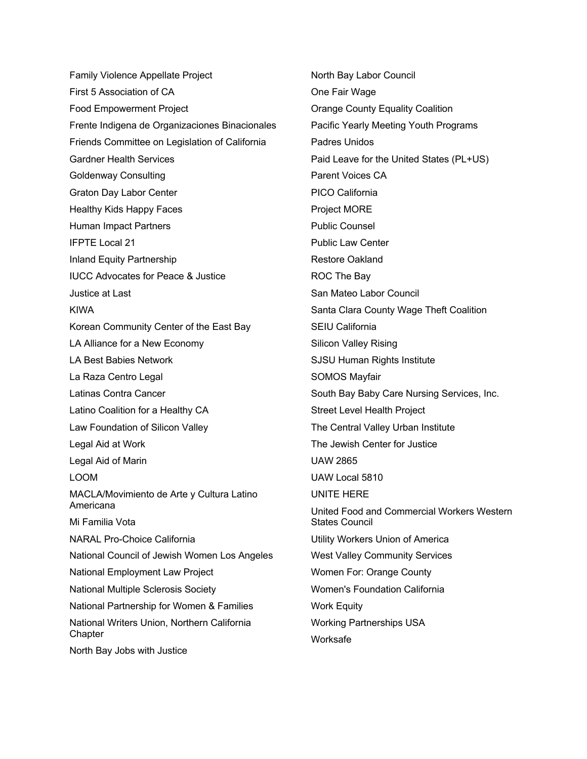Family Violence Appellate Project First 5 Association of CA Food Empowerment Project Frente Indigena de Organizaciones Binacionales Friends Committee on Legislation of California Gardner Health Services Goldenway Consulting Graton Day Labor Center Healthy Kids Happy Faces Human Impact Partners IFPTE Local 21 Inland Equity Partnership IUCC Advocates for Peace & Justice Justice at Last KIWA Korean Community Center of the East Bay LA Alliance for a New Economy LA Best Babies Network La Raza Centro Legal Latinas Contra Cancer Latino Coalition for a Healthy CA Law Foundation of Silicon Valley Legal Aid at Work Legal Aid of Marin LOOM MACLA/Movimiento de Arte y Cultura Latino Americana Mi Familia Vota NARAL Pro-Choice California National Council of Jewish Women Los Angeles National Employment Law Project National Multiple Sclerosis Society National Partnership for Women & Families National Writers Union, Northern California **Chapter** North Bay Jobs with Justice

North Bay Labor Council One Fair Wage Orange County Equality Coalition Pacific Yearly Meeting Youth Programs Padres Unidos Paid Leave for the United States (PL+US) Parent Voices CA PICO California Project MORE Public Counsel Public Law Center Restore Oakland ROC The Bay San Mateo Labor Council Santa Clara County Wage Theft Coalition SEIU California Silicon Valley Rising SJSU Human Rights Institute SOMOS Mayfair South Bay Baby Care Nursing Services, Inc. Street Level Health Project The Central Valley Urban Institute The Jewish Center for Justice UAW 2865 UAW Local 5810 UNITE HERE United Food and Commercial Workers Western States Council Utility Workers Union of America West Valley Community Services Women For: Orange County Women's Foundation California Work Equity Working Partnerships USA Worksafe